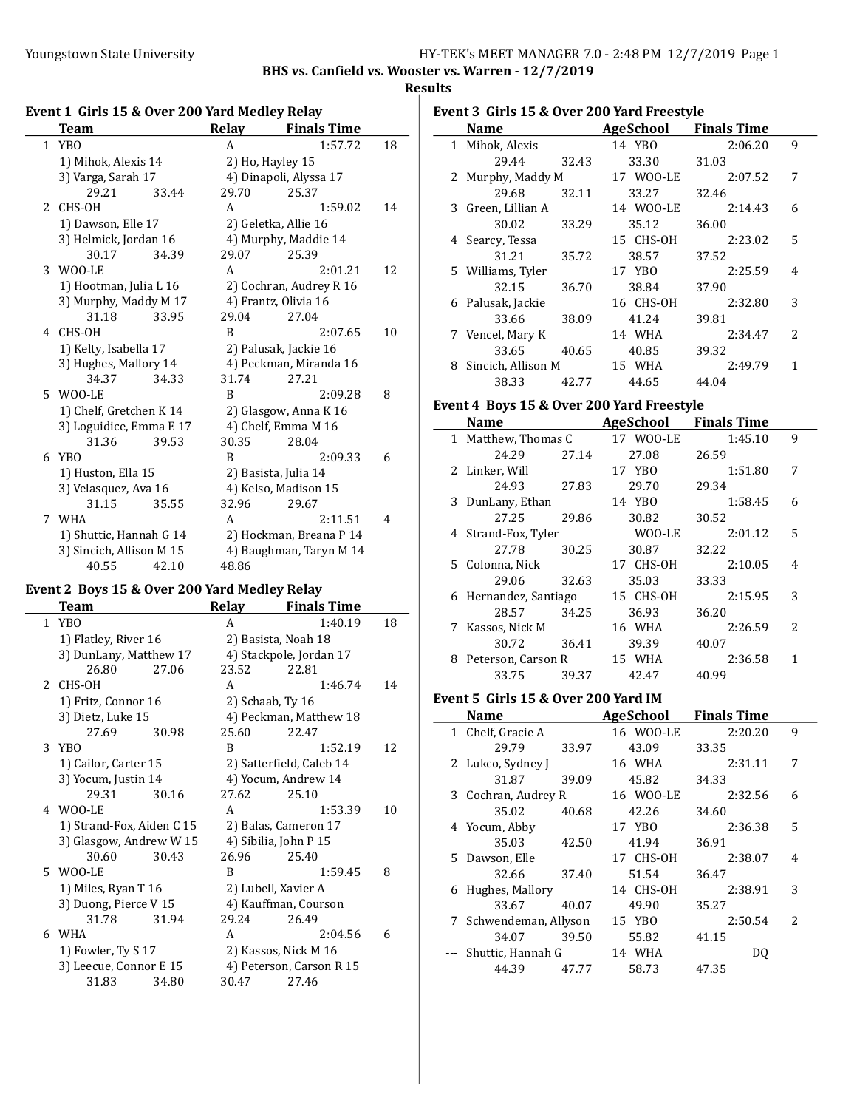BHS vs. Canfield vs. Wooster vs. Warren - 12/7/2019 **Results** 

|                | <b>Team</b>              |       | Relay        | <b>Finals Time</b>      |    |
|----------------|--------------------------|-------|--------------|-------------------------|----|
|                | 1 YBO                    |       | A            | 1:57.72                 | 18 |
|                | 1) Mihok, Alexis 14      |       |              | 2) Ho, Hayley 15        |    |
|                | 3) Varga, Sarah 17       |       |              | 4) Dinapoli, Alyssa 17  |    |
|                | 29.21                    | 33.44 | 29.70        | 25.37                   |    |
| $\overline{2}$ | CHS-OH                   |       | A            | 1:59.02                 | 14 |
|                | 1) Dawson, Elle 17       |       |              | 2) Geletka, Allie 16    |    |
|                | 3) Helmick, Jordan 16    |       |              | 4) Murphy, Maddie 14    |    |
|                | 30.17                    | 34.39 | 29.07        | 25.39                   |    |
|                | 3 WOO-LE                 |       | A            | 2:01.21                 | 12 |
|                | 1) Hootman, Julia L 16   |       |              | 2) Cochran, Audrey R 16 |    |
|                | 3) Murphy, Maddy M 17    |       |              | 4) Frantz, Olivia 16    |    |
|                | 31.18                    | 33.95 | 29.04        | 27.04                   |    |
| 4              | CHS-OH                   |       | <sub>B</sub> | 2:07.65                 | 10 |
|                | 1) Kelty, Isabella 17    |       |              | 2) Palusak, Jackie 16   |    |
|                | 3) Hughes, Mallory 14    |       |              | 4) Peckman, Miranda 16  |    |
|                | 34.37                    | 34.33 | 31.74        | 27.21                   |    |
|                | 5 WOO-LE                 |       | B            | 2:09.28                 | 8  |
|                | 1) Chelf, Gretchen K 14  |       |              | 2) Glasgow, Anna K 16   |    |
|                | 3) Loguidice, Emma E 17  |       |              | 4) Chelf, Emma M 16     |    |
|                | 31.36                    | 39.53 | 30.35        | 28.04                   |    |
| 6              | YBO                      |       | B            | 2:09.33                 | 6  |
|                | 1) Huston, Ella 15       |       |              | 2) Basista, Julia 14    |    |
|                | 3) Velasquez, Ava 16     |       |              | 4) Kelso, Madison 15    |    |
|                | 31.15                    | 35.55 | 32.96        | 29.67                   |    |
| 7              | WHA                      |       | A            | 2:11.51                 | 4  |
|                | 1) Shuttic, Hannah G 14  |       |              | 2) Hockman, Breana P 14 |    |
|                | 3) Sincich, Allison M 15 |       |              | 4) Baughman, Taryn M 14 |    |
|                | 40.55                    | 42.10 | 48.86        |                         |    |

### Event 2 Boys 15 & Over 200 Yard Medley Relay

|               | Team                      |       | <b>Relay</b> | <b>Finals Time</b>       |    |
|---------------|---------------------------|-------|--------------|--------------------------|----|
| $\mathbf{1}$  | YBO                       |       | A            | 1:40.19                  | 18 |
|               | 1) Flatley, River 16      |       |              | 2) Basista, Noah 18      |    |
|               | 3) DunLany, Matthew 17    |       |              | 4) Stackpole, Jordan 17  |    |
|               | 26.80                     | 27.06 | 23.52        | 22.81                    |    |
| $\mathcal{L}$ | CHS-OH                    |       | A            | 1:46.74                  | 14 |
|               | 1) Fritz, Connor 16       |       |              | 2) Schaab, Ty 16         |    |
|               | 3) Dietz, Luke 15         |       |              | 4) Peckman, Matthew 18   |    |
|               | 27.69                     | 30.98 | 25.60        | 22.47                    |    |
| 3             | YBO                       |       | B            | 1:52.19                  | 12 |
|               | 1) Cailor, Carter 15      |       |              | 2) Satterfield, Caleb 14 |    |
|               | 3) Yocum, Justin 14       |       |              | 4) Yocum, Andrew 14      |    |
|               | 29.31                     | 30.16 | 27.62        | 25.10                    |    |
|               | 4 WOO-LE                  |       | A            | 1:53.39                  | 10 |
|               | 1) Strand-Fox, Aiden C 15 |       |              | 2) Balas, Cameron 17     |    |
|               | 3) Glasgow, Andrew W 15   |       |              | 4) Sibilia, John P 15    |    |
|               | 30.60                     | 30.43 | 26.96        | 25.40                    |    |
|               | 5 WOO-LE                  |       | B            | 1:59.45                  | 8  |
|               | 1) Miles, Ryan T 16       |       |              | 2) Lubell, Xavier A      |    |
|               | 3) Duong, Pierce V 15     |       |              | 4) Kauffman, Courson     |    |
|               | 31.78                     | 31.94 | 29.24        | 26.49                    |    |
|               | 6 WHA                     |       | A            | 2:04.56                  | 6  |
|               | 1) Fowler, Ty S 17        |       |              | 2) Kassos, Nick M 16     |    |
|               | 3) Leecue, Connor E 15    |       |              | 4) Peterson, Carson R 15 |    |
|               | 31.83                     | 34.80 | 30.47        | 27.46                    |    |

| Event 3 Girls 15 & Over 200 Yard Freestyle |                    |       |           |                    |               |  |  |  |
|--------------------------------------------|--------------------|-------|-----------|--------------------|---------------|--|--|--|
|                                            | <b>Name</b>        |       | AgeSchool | <b>Finals Time</b> |               |  |  |  |
|                                            | 1 Mihok, Alexis    |       | 14 YBO    | 2:06.20            | 9             |  |  |  |
|                                            | 29.44              | 32.43 | 33.30     | 31.03              |               |  |  |  |
|                                            | 2 Murphy, Maddy M  |       | 17 WOO-LE | 2:07.52            | 7             |  |  |  |
|                                            | 29.68              | 32.11 | 33.27     | 32.46              |               |  |  |  |
|                                            | 3 Green, Lillian A |       | 14 WOO-LE | 2:14.43            | 6             |  |  |  |
|                                            | 30.02              | 33.29 | 35.12     | 36.00              |               |  |  |  |
|                                            | 4 Searcy, Tessa    |       | 15 CHS-OH | 2:23.02            | 5             |  |  |  |
|                                            | 31.21              | 35.72 | 38.57     | 37.52              |               |  |  |  |
|                                            | 5 Williams, Tyler  |       | 17 YBO    | 2:25.59            | 4             |  |  |  |
|                                            | 32.15              | 36.70 | 38.84     | 37.90              |               |  |  |  |
|                                            | 6 Palusak, Jackie  |       | 16 CHS-OH | 2:32.80            | 3             |  |  |  |
|                                            | 33.66              | 38.09 | 41.24     | 39.81              |               |  |  |  |
|                                            | 7 Vencel, Mary K   |       | 14 WHA    | 2:34.47            | $\mathcal{L}$ |  |  |  |
|                                            | 33.65              | 40.65 | 40.85     | 39.32              |               |  |  |  |
| 8                                          | Sincich, Allison M |       | 15 WHA    | 2:49.79            | 1             |  |  |  |
|                                            | 38.33              | 42.77 | 44.65     | 44.04              |               |  |  |  |

### Event 4 Boys 15 & Over 200 Yard Freestyle

|   | Name                  |       | <b>AgeSchool</b> | <b>Finals Time</b> |                |
|---|-----------------------|-------|------------------|--------------------|----------------|
|   | 1 Matthew, Thomas C   |       | 17 WOO-LE        | 1:45.10            | 9              |
|   | 24.29                 | 27.14 | 27.08            | 26.59              |                |
|   | 2 Linker, Will        |       | 17 YBO           | 1:51.80            | 7              |
|   | 24.93                 | 27.83 | 29.70            | 29.34              |                |
|   | 3 DunLany, Ethan      |       | 14 YBO           | 1:58.45            | 6              |
|   | 27.25                 | 29.86 | 30.82            | 30.52              |                |
|   | 4 Strand-Fox, Tyler   |       | WOO-LE           | 2:01.12            | 5              |
|   | 27.78                 | 30.25 | 30.87            | 32.22              |                |
|   | 5 Colonna, Nick       |       | 17 CHS-OH        | 2:10.05            | 4              |
|   | 29.06                 | 32.63 | 35.03            | 33.33              |                |
|   | 6 Hernandez, Santiago |       | 15 CHS-OH        | 2:15.95            | 3              |
|   | 28.57                 | 34.25 | 36.93            | 36.20              |                |
| 7 | Kassos, Nick M        |       | 16 WHA           | 2:26.59            | $\mathfrak{Z}$ |
|   | 30.72                 | 36.41 | 39.39            | 40.07              |                |
| 8 | Peterson, Carson R    |       | 15 WHA           | 2:36.58            | 1              |
|   | 33.75                 | 39.37 | 42.47            | 40.99              |                |

### Event 5 Girls 15 & Over 200 Yard IM

| <b>Name</b>            |       | AgeSchool | <b>Finals Time</b> |               |
|------------------------|-------|-----------|--------------------|---------------|
| 1 Chelf, Gracie A      |       | 16 WOO-LE | 2:20.20            | 9             |
| 29.79                  | 33.97 | 43.09     | 33.35              |               |
| 2 Lukco, Sydney J      |       | 16 WHA    | 2:31.11            | 7             |
| 31.87                  | 39.09 | 45.82     | 34.33              |               |
| 3 Cochran, Audrey R    |       | 16 WOO-LE | 2:32.56            | 6             |
| 35.02                  | 40.68 | 42.26     | 34.60              |               |
| 4 Yocum, Abby          |       | 17 YBO    | 2:36.38            | 5             |
| 35.03                  | 42.50 | 41.94     | 36.91              |               |
| 5 Dawson, Elle         |       | 17 CHS-OH | 2:38.07            | 4             |
| 32.66                  | 37.40 | 51.54     | 36.47              |               |
| 6 Hughes, Mallory      |       | 14 CHS-OH | 2:38.91            | 3             |
| 33.67                  | 40.07 | 49.90     | 35.27              |               |
| 7 Schwendeman, Allyson |       | 15 YBO    | 2:50.54            | $\mathcal{P}$ |
| 34.07                  | 39.50 | 55.82     | 41.15              |               |
| --- Shuttic, Hannah G  |       | 14 WHA    | DO                 |               |
| 44.39                  | 47.77 | 58.73     | 47.35              |               |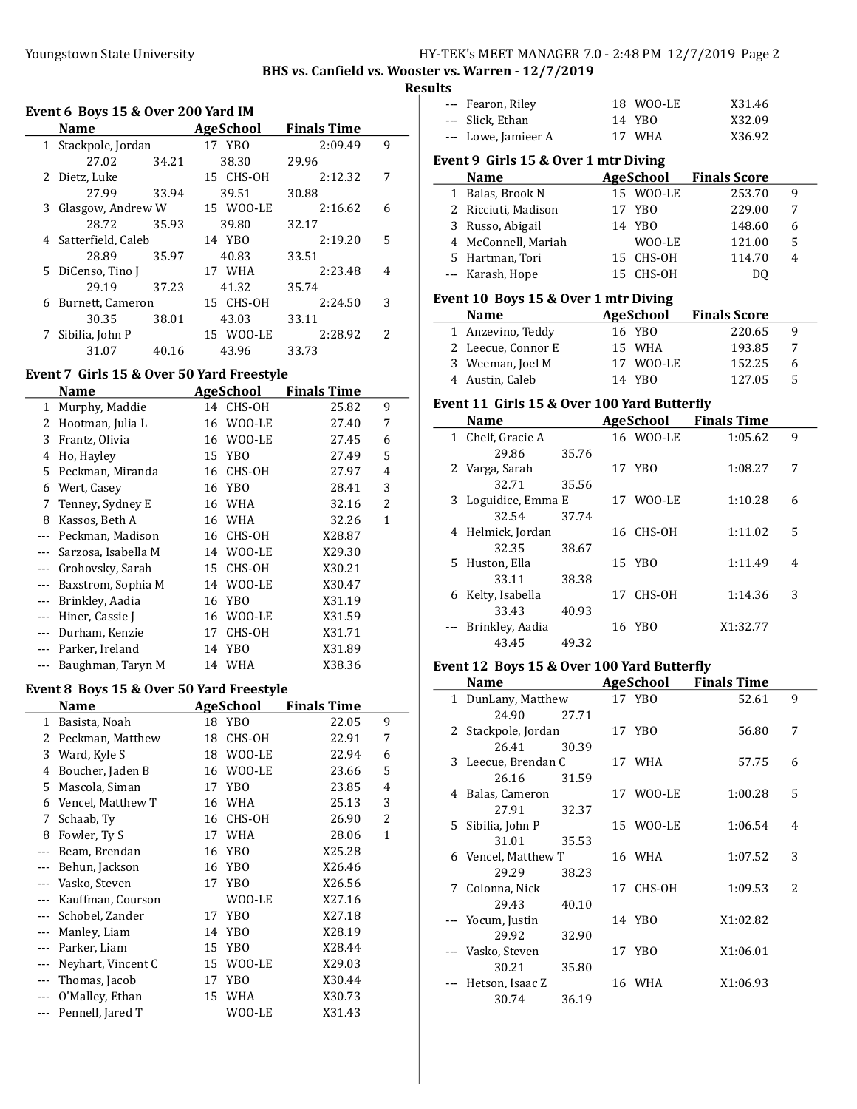# Youngstown State University The Management State University HY-TEK's MEET MANAGER 7.0 - 2:48 PM 12/7/2019 Page 2

# BHS vs. Canfield vs. Wooster vs. Warren - 12/7/2019

| Results |  |
|---------|--|
|         |  |

| Event 6  Boys 15 & Over 200 Yard IM |                      |       |           |                    |               |  |  |  |
|-------------------------------------|----------------------|-------|-----------|--------------------|---------------|--|--|--|
|                                     | Name                 |       | AgeSchool | <b>Finals Time</b> |               |  |  |  |
| 1                                   | Stackpole, Jordan    |       | 17 YBO    | 2:09.49            | 9             |  |  |  |
|                                     | 27.02                | 34.21 | 38.30     | 29.96              |               |  |  |  |
|                                     | 2 Dietz, Luke        |       | 15 CHS-OH | 2:12.32            | 7             |  |  |  |
|                                     | 27.99                | 33.94 | 39.51     | 30.88              |               |  |  |  |
| 3                                   | Glasgow, Andrew W    |       | 15 WOO-LE | 2:16.62            | 6             |  |  |  |
|                                     | 28.72                | 35.93 | 39.80     | 32.17              |               |  |  |  |
|                                     | 4 Satterfield, Caleb |       | 14 YBO    | 2:19.20            | 5             |  |  |  |
|                                     | 28.89                | 35.97 | 40.83     | 33.51              |               |  |  |  |
|                                     | 5 DiCenso, Tino J    |       | 17 WHA    | 2:23.48            | 4             |  |  |  |
|                                     | 29.19                | 37.23 | 41.32     | 35.74              |               |  |  |  |
| 6                                   | Burnett, Cameron     |       | 15 CHS-OH | 2:24.50            | 3             |  |  |  |
|                                     | 30.35                | 38.01 | 43.03     | 33.11              |               |  |  |  |
| 7                                   | Sibilia, John P      |       | 15 WOO-LE | 2:28.92            | $\mathcal{P}$ |  |  |  |
|                                     | 31.07                | 40.16 | 43.96     | 33.73              |               |  |  |  |
|                                     |                      |       |           |                    |               |  |  |  |

## Event 7 Girls 15 & Over 50 Yard Freestyle

|          | Name                |    | AgeSchool       | <b>Finals Time</b> |                |
|----------|---------------------|----|-----------------|--------------------|----------------|
| 1        | Murphy, Maddie      |    | 14 CHS-OH       | 25.82              | 9              |
| 2        | Hootman, Julia L    | 16 | WOO-LE          | 27.40              | 7              |
| 3        | Frantz, Olivia      | 16 | WOO-LE          | 27.45              | 6              |
| 4        | Ho, Hayley          | 15 | YBO             | 27.49              | 5              |
| 5.       | Peckman, Miranda    | 16 | CHS-OH          | 27.97              | $\overline{4}$ |
| 6        | Wert, Casey         | 16 | YBO             | 28.41              | 3              |
| 7        | Tenney, Sydney E    | 16 | WHA             | 32.16              | $\overline{2}$ |
| 8        | Kassos, Beth A      | 16 | WHA             | 32.26              | 1              |
|          | Peckman, Madison    | 16 | CHS-OH          | X28.87             |                |
|          | Sarzosa, Isabella M |    | 14 WOO-LE       | X29.30             |                |
| $\cdots$ | Grohovsky, Sarah    | 15 | CHS-OH          | X30.21             |                |
|          | Baxstrom, Sophia M  | 14 | WOO-LE          | X30.47             |                |
|          | Brinkley, Aadia     | 16 | YB <sub>O</sub> | X31.19             |                |
|          | Hiner, Cassie J     | 16 | WOO-LE          | X31.59             |                |
|          | Durham, Kenzie      | 17 | CHS-OH          | X31.71             |                |
|          | Parker, Ireland     | 14 | YB <sub>0</sub> | X31.89             |                |
|          | Baughman, Taryn M   |    | 14 WHA          | X38.36             |                |

#### Event 8 Boys 15 & Over 50 Yard Freestyle

|                | Name               |    | AgeSchool       | <b>Finals Time</b> |              |
|----------------|--------------------|----|-----------------|--------------------|--------------|
| 1              | Basista, Noah      |    | 18 YBO          | 22.05              | 9            |
| 2              | Peckman, Matthew   | 18 | CHS-OH          | 22.91              | 7            |
| 3              | Ward, Kyle S       | 18 | WOO-LE          | 22.94              | 6            |
| 4              | Boucher, Jaden B   | 16 | WOO-LE          | 23.66              | 5            |
| 5.             | Mascola, Siman     | 17 | YBO             | 23.85              | 4            |
| 6              | Vencel, Matthew T  | 16 | WHA             | 25.13              | 3            |
| 7              | Schaab, Ty         | 16 | CHS-OH          | 26.90              | 2            |
| 8              | Fowler, Ty S       | 17 | WHA             | 28.06              | $\mathbf{1}$ |
|                | Beam, Brendan      | 16 | YBO             | X25.28             |              |
|                | Behun, Jackson     | 16 | YBO             | X26.46             |              |
|                | Vasko, Steven      |    | 17 YBO          | X26.56             |              |
|                | Kauffman, Courson  |    | WOO-LE          | X27.16             |              |
|                | Schobel, Zander    | 17 | YB <sub>0</sub> | X27.18             |              |
|                | Manley, Liam       | 14 | YBO             | X28.19             |              |
|                | Parker, Liam       | 15 | YB <sub>0</sub> | X28.44             |              |
|                | Neyhart, Vincent C | 15 | WOO-LE          | X29.03             |              |
|                | Thomas, Jacob      | 17 | YB <sub>O</sub> | X30.44             |              |
| ---            | O'Malley, Ethan    | 15 | WHA             | X30.73             |              |
| $\overline{a}$ | Pennell, Jared T   |    | WOO-LE          | X31.43             |              |

| ultə    |                                             |       |                  |                              |   |
|---------|---------------------------------------------|-------|------------------|------------------------------|---|
|         | --- Fearon, Riley                           |       | 18 WOO-LE        | X31.46                       |   |
| $- - -$ | Slick, Ethan                                |       | 14 YBO           | X32.09                       |   |
|         | --- Lowe, Jamieer A                         |       | 17 WHA           | X36.92                       |   |
|         | Event 9 Girls 15 & Over 1 mtr Diving        |       |                  |                              |   |
|         | <b>Name</b>                                 |       | <b>AgeSchool</b> | <b>Finals Score</b>          |   |
|         | 1 Balas, Brook N                            |       | 15 WOO-LE        | 253.70                       | 9 |
|         | 2 Ricciuti, Madison                         |       | 17 YBO           | 229.00                       | 7 |
|         | 3 Russo, Abigail                            |       | 14 YBO           | 148.60                       | 6 |
|         | 4 McConnell, Mariah                         |       | WOO-LE           | 121.00                       | 5 |
|         | 5 Hartman, Tori                             |       | 15 CHS-OH        | 114.70                       | 4 |
|         | --- Karash, Hope                            |       | 15 CHS-OH        | D <sub>0</sub>               |   |
|         |                                             |       |                  |                              |   |
|         | Event 10 Boys 15 & Over 1 mtr Diving        |       |                  |                              |   |
|         | <b>Name</b>                                 |       | <b>AgeSchool</b> | <b>Finals Score</b>          |   |
|         | 1 Anzevino, Teddy                           |       | 16 YBO           | 220.65                       | 9 |
|         | 2 Leecue, Connor E                          |       | 15 WHA           | 193.85                       | 7 |
|         | 3 Weeman, Joel M                            |       | 17 WOO-LE        | 152.25                       | 6 |
|         | 4 Austin, Caleb                             |       | 14 YBO           | 127.05                       | 5 |
|         | Event 11 Girls 15 & Over 100 Yard Butterfly |       |                  |                              |   |
|         | <b>Name</b>                                 |       |                  | <b>AgeSchool</b> Finals Time |   |
|         | 1 Chelf, Gracie A                           |       | 16 WOO-LE        | 1:05.62                      | 9 |
|         | 29.86                                       | 35.76 |                  |                              |   |
|         | 2 Varga, Sarah                              |       | 17 YBO           | 1:08.27                      | 7 |
|         | 32.71                                       | 35.56 |                  |                              |   |
| 3       | Loguidice, Emma E                           |       | 17 WOO-LE        | 1:10.28                      | 6 |
|         | 32.54                                       | 37.74 |                  |                              |   |
| 4       | Helmick, Jordan                             |       | 16 CHS-OH        | 1:11.02                      | 5 |
|         | 32.35                                       | 38.67 |                  |                              |   |
| 5       | Huston, Ella                                |       | 15 YBO           | 1:11.49                      | 4 |
|         | 33.11                                       | 38.38 |                  |                              |   |
|         | 6 Kelty, Isabella                           |       | 17 CHS-OH        | 1:14.36                      | 3 |
|         | 33.43                                       | 40.93 |                  |                              |   |
|         | --- Brinkley, Aadia                         |       | 16 YBO           | X1:32.77                     |   |
|         | 43.45                                       | 49.32 |                  |                              |   |
|         | Event 12 Boys 15 & Over 100 Yard Butterfly  |       |                  |                              |   |
|         | Name                                        |       | AgeSchool        | <b>Finals Time</b>           |   |
|         | 1 DunLany, Matthew                          |       | 17 YBO           | 52.61                        | 9 |
|         | 24.90                                       | 27.71 |                  |                              |   |
|         | 2 Stackpole, Jordan                         |       | 17 YBO           | 56.80                        | 7 |
|         | 26.41                                       | 30.39 |                  |                              |   |
|         |                                             |       |                  |                              |   |

|       | Name                |       | AgeSchool | Finals Time |   |
|-------|---------------------|-------|-----------|-------------|---|
|       | 1 DunLany, Matthew  |       | 17 YBO    | 52.61       | 9 |
|       | 24.90               | 27.71 |           |             |   |
|       | 2 Stackpole, Jordan |       | 17 YBO    | 56.80       | 7 |
|       | 26.41               | 30.39 |           |             |   |
|       | 3 Leecue, Brendan C |       | 17 WHA    | 57.75       | 6 |
|       | 26.16               | 31.59 |           |             |   |
|       | 4 Balas, Cameron    |       | 17 WOO-LE | 1:00.28     | 5 |
|       | 27.91               | 32.37 |           |             |   |
|       | 5 Sibilia, John P   |       | 15 WOO-LE | 1:06.54     | 4 |
|       | 31.01               | 35.53 |           |             |   |
|       | 6 Vencel, Matthew T |       | 16 WHA    | 1:07.52     | 3 |
|       | 29.29               | 38.23 |           |             |   |
| 7     | Colonna, Nick       |       | 17 CHS-OH | 1:09.53     | 2 |
|       | 29.43               | 40.10 |           |             |   |
| $---$ | Yocum, Justin       |       | 14 YBO    | X1:02.82    |   |
|       | 29.92               | 32.90 |           |             |   |
|       | --- Vasko, Steven   |       | 17 YBO    | X1:06.01    |   |
|       | 30.21               | 35.80 |           |             |   |
|       | Hetson, Isaac Z     |       | 16 WHA    | X1:06.93    |   |
|       | 30.74               | 36.19 |           |             |   |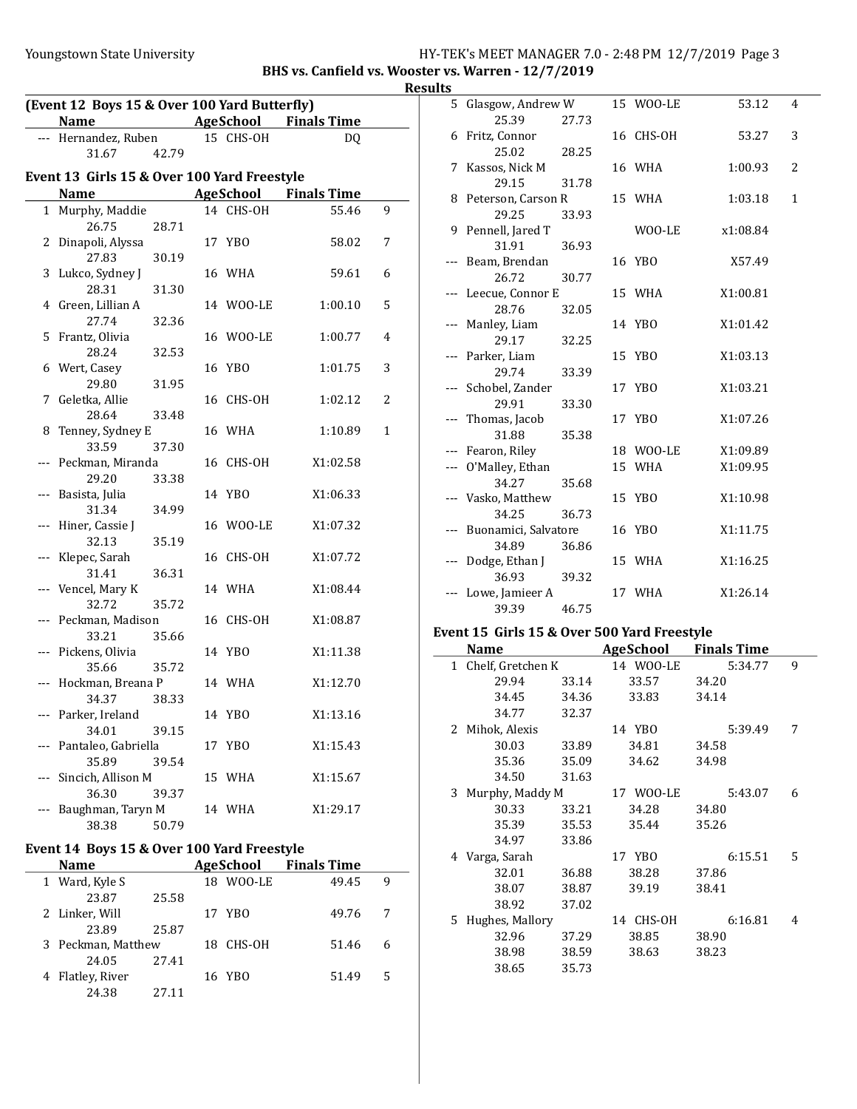### Youngstown State University The Magnostown State University HY-TEK's MEET MANAGER 7.0 - 2:48 PM 12/7/2019 Page 3

BHS vs. Canfield vs. Wooster vs. Warren - 12/7/2019

**Results** 

| (Event 12 Boys 15 & Over 100 Yard Butterfly) |                                             |       |  |           |                                        |   |  |
|----------------------------------------------|---------------------------------------------|-------|--|-----------|----------------------------------------|---|--|
|                                              | <b>Name</b>                                 |       |  |           | <b>Example 2 AgeSchool</b> Finals Time |   |  |
|                                              | --- Hernandez, Ruben                        |       |  | 15 CHS-OH | DQ                                     |   |  |
|                                              | 31.67                                       | 42.79 |  |           |                                        |   |  |
|                                              | Event 13 Girls 15 & Over 100 Yard Freestyle |       |  |           |                                        |   |  |
|                                              | Name                                        |       |  |           | AgeSchool Finals Time                  |   |  |
|                                              | 1 Murphy, Maddie                            |       |  | 14 CHS-OH | 55.46                                  | 9 |  |
|                                              | 26.75                                       | 28.71 |  |           |                                        |   |  |
| 2                                            | Dinapoli, Alyssa                            |       |  | 17 YBO    | 58.02                                  | 7 |  |
|                                              | 27.83                                       | 30.19 |  |           |                                        |   |  |
|                                              | 3 Lukco, Sydney J                           |       |  | 16 WHA    | 59.61                                  | 6 |  |
|                                              | 28.31                                       | 31.30 |  |           |                                        |   |  |
|                                              | 4 Green, Lillian A                          |       |  | 14 WOO-LE | 1:00.10                                | 5 |  |
|                                              | 27.74                                       | 32.36 |  |           |                                        |   |  |
|                                              | 5 Frantz, Olivia                            |       |  | 16 WOO-LE | 1:00.77                                | 4 |  |
|                                              | 28.24                                       | 32.53 |  |           |                                        |   |  |
|                                              | 6 Wert, Casey                               |       |  | 16 YBO    | 1:01.75                                | 3 |  |
|                                              | 29.80                                       | 31.95 |  |           |                                        |   |  |
|                                              | 7 Geletka, Allie                            |       |  | 16 CHS-OH | 1:02.12                                | 2 |  |
|                                              | 28.64                                       | 33.48 |  |           |                                        |   |  |
| 8                                            | Tenney, Sydney E                            |       |  | 16 WHA    | 1:10.89                                | 1 |  |
|                                              | 33.59                                       | 37.30 |  |           |                                        |   |  |
|                                              | --- Peckman, Miranda                        |       |  | 16 CHS-OH | X1:02.58                               |   |  |
|                                              | 29.20                                       | 33.38 |  |           |                                        |   |  |
|                                              | --- Basista, Julia                          |       |  | 14 YBO    | X1:06.33                               |   |  |
|                                              | 31.34                                       | 34.99 |  |           |                                        |   |  |
|                                              | --- Hiner, Cassie J                         |       |  | 16 WOO-LE | X1:07.32                               |   |  |
|                                              | 32.13                                       | 35.19 |  |           |                                        |   |  |
|                                              | Klepec, Sarah                               |       |  | 16 CHS-OH | X1:07.72                               |   |  |
|                                              | 31.41                                       | 36.31 |  |           |                                        |   |  |
|                                              | --- Vencel, Mary K                          |       |  | 14 WHA    | X1:08.44                               |   |  |
|                                              | 32.72<br>--- Peckman, Madison               | 35.72 |  | 16 CHS-OH | X1:08.87                               |   |  |
|                                              | 33.21                                       | 35.66 |  |           |                                        |   |  |
|                                              | --- Pickens, Olivia                         |       |  | 14 YBO    | X1:11.38                               |   |  |
|                                              | 35.66                                       | 35.72 |  |           |                                        |   |  |
|                                              | Hockman, Breana P                           |       |  | 14 WHA    | X1:12.70                               |   |  |
|                                              | 34.37                                       | 38.33 |  |           |                                        |   |  |
|                                              | --- Parker, Ireland                         |       |  | 14 YBO    | X1:13.16                               |   |  |
|                                              | 34.01                                       | 39.15 |  |           |                                        |   |  |
| ---                                          | Pantaleo, Gabriella                         |       |  | 17 YBO    | X1:15.43                               |   |  |
|                                              | 35.89                                       | 39.54 |  |           |                                        |   |  |
| ---                                          | Sincich, Allison M                          |       |  | 15 WHA    | X1:15.67                               |   |  |
|                                              | 36.30                                       | 39.37 |  |           |                                        |   |  |
|                                              | Baughman, Taryn M                           |       |  | 14 WHA    | X1:29.17                               |   |  |
|                                              | 38.38                                       | 50.79 |  |           |                                        |   |  |
|                                              |                                             |       |  |           |                                        |   |  |

# Event 14 Boys 15 & Over 100 Yard Freestyle

| <b>Name</b>        |       | AgeSchool | <b>Finals Time</b> |    |
|--------------------|-------|-----------|--------------------|----|
| 1 Ward, Kyle S     |       | 18 WOO-LE | 49.45              | q  |
| 23.87              | 25.58 |           |                    |    |
| 2 Linker, Will     |       | 17 YBO    | 49.76              | -7 |
| 23.89              | 25.87 |           |                    |    |
| 3 Peckman, Matthew |       | 18 CHS-OH | 51.46              | 6  |
| 24.05              | 27.41 |           |                    |    |
| 4 Flatley, River   |       | 16 YBO    | 51.49              | 5  |
| 24.38              | 27.11 |           |                    |    |

| ເວ |                           |       |    |           |          |              |  |
|----|---------------------------|-------|----|-----------|----------|--------------|--|
|    | 5 Glasgow, Andrew W       |       |    | 15 WOO-LE | 53.12    | 4            |  |
|    | 25.39                     | 27.73 |    |           |          |              |  |
|    | 6 Fritz, Connor           |       |    | 16 CHS-OH | 53.27    | 3            |  |
|    | 25.02                     | 28.25 |    |           |          |              |  |
|    | 7 Kassos, Nick M          |       |    | 16 WHA    | 1:00.93  | 2            |  |
|    | 29.15                     | 31.78 |    |           |          |              |  |
|    | 8 Peterson, Carson R      |       |    | 15 WHA    | 1:03.18  | $\mathbf{1}$ |  |
|    | 29.25                     | 33.93 |    |           |          |              |  |
|    | 9 Pennell, Jared T        |       |    | WOO-LE    | x1:08.84 |              |  |
|    | 31.91                     | 36.93 |    |           |          |              |  |
|    | --- Beam, Brendan         |       |    | 16 YBO    | X57.49   |              |  |
|    | 26.72                     | 30.77 |    |           |          |              |  |
|    | --- Leecue, Connor E      |       |    | 15 WHA    | X1:00.81 |              |  |
|    | 28.76                     | 32.05 |    |           |          |              |  |
|    | --- Manley, Liam          |       |    | 14 YBO    | X1:01.42 |              |  |
|    | 29.17                     | 32.25 |    |           |          |              |  |
|    | --- Parker, Liam<br>29.74 | 33.39 |    | 15 YBO    | X1:03.13 |              |  |
|    | --- Schobel, Zander       |       |    | 17 YBO    | X1:03.21 |              |  |
|    | 29.91                     | 33.30 |    |           |          |              |  |
|    | --- Thomas, Jacob         |       |    | 17 YBO    | X1:07.26 |              |  |
|    | 31.88                     | 35.38 |    |           |          |              |  |
|    | --- Fearon, Riley         |       |    | 18 WOO-LE | X1:09.89 |              |  |
|    | --- O'Malley, Ethan       |       |    | 15 WHA    | X1:09.95 |              |  |
|    | 34.27                     | 35.68 |    |           |          |              |  |
|    | --- Vasko, Matthew        |       |    | 15 YBO    | X1:10.98 |              |  |
|    | 34.25                     | 36.73 |    |           |          |              |  |
|    | --- Buonamici, Salvatore  |       |    | 16 YBO    | X1:11.75 |              |  |
|    | 34.89                     | 36.86 |    |           |          |              |  |
|    | Dodge, Ethan J            |       | 15 | WHA       | X1:16.25 |              |  |
|    | 36.93                     | 39.32 |    |           |          |              |  |
|    | Lowe, Jamieer A           |       |    | 17 WHA    | X1:26.14 |              |  |
|    | 39.39                     | 46.75 |    |           |          |              |  |
|    |                           |       |    |           |          |              |  |

### Event 15 Girls 15 & Over 500 Yard Freestyle

|    | <b>Name</b>       |       | <b>AgeSchool</b> | <b>Finals Time</b> |   |
|----|-------------------|-------|------------------|--------------------|---|
| 1  | Chelf, Gretchen K |       | 14 WOO-LE        | 5:34.77            | 9 |
|    | 29.94             | 33.14 | 33.57            | 34.20              |   |
|    | 34.45             | 34.36 | 33.83            | 34.14              |   |
|    | 34.77             | 32.37 |                  |                    |   |
| 2. | Mihok, Alexis     |       | 14 YBO           | 5:39.49            | 7 |
|    | 30.03             | 33.89 | 34.81            | 34.58              |   |
|    | 35.36             | 35.09 | 34.62            | 34.98              |   |
|    | 34.50             | 31.63 |                  |                    |   |
| 3  | Murphy, Maddy M   |       | 17 WOO-LE        | 5:43.07            | 6 |
|    | 30.33             | 33.21 | 34.28            | 34.80              |   |
|    | 35.39             | 35.53 | 35.44            | 35.26              |   |
|    | 34.97             | 33.86 |                  |                    |   |
| 4  | Varga, Sarah      |       | 17 YBO           | 6:15.51            | 5 |
|    | 32.01             | 36.88 | 38.28            | 37.86              |   |
|    | 38.07             | 38.87 | 39.19            | 38.41              |   |
|    | 38.92             | 37.02 |                  |                    |   |
| 5. | Hughes, Mallory   |       | 14 CHS-OH        | 6:16.81            | 4 |
|    | 32.96             | 37.29 | 38.85            | 38.90              |   |
|    | 38.98             | 38.59 | 38.63            | 38.23              |   |
|    | 38.65             | 35.73 |                  |                    |   |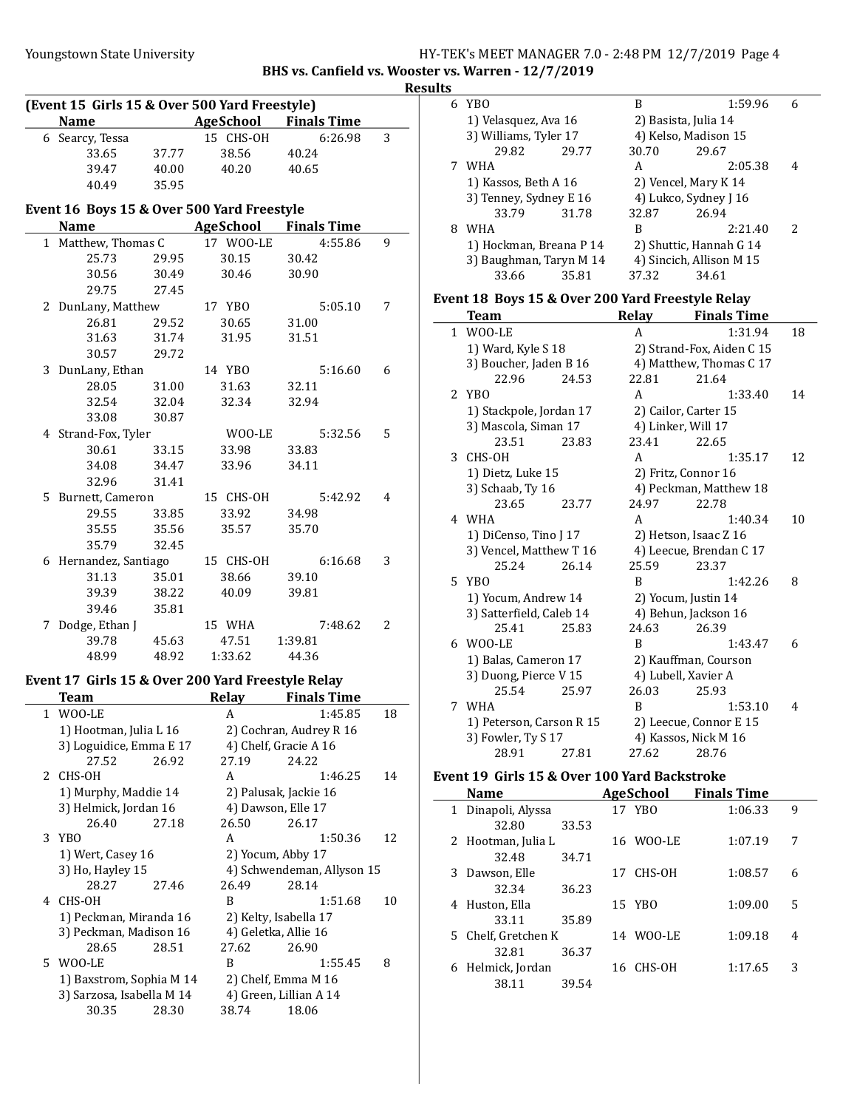### Youngstown State University The Management State University HY-TEK's MEET MANAGER 7.0 - 2:48 PM 12/7/2019 Page 4 BHS vs. Canfield vs. Wooster vs. Warren - 12/7/2019

**Results** 

|   | (Event 15 Girls 15 & Over 500 Yard Freestyle)     |       |                            |                            |    |
|---|---------------------------------------------------|-------|----------------------------|----------------------------|----|
|   | Name                                              |       | <b>Example 2 AgeSchool</b> | <b>Finals Time</b>         |    |
|   | 6 Searcy, Tessa                                   |       | 15 CHS-OH                  | 6:26.98                    | 3  |
|   | 33.65                                             | 37.77 | 38.56                      | 40.24                      |    |
|   | 39.47                                             | 40.00 | 40.20                      | 40.65                      |    |
|   | 40.49                                             | 35.95 |                            |                            |    |
|   | Event 16 Boys 15 & Over 500 Yard Freestyle        |       |                            |                            |    |
|   | Name                                              |       | <b>Example 2</b> AgeSchool | <b>Finals Time</b>         |    |
|   | 1 Matthew, Thomas C                               |       | 17 WOO-LE                  | 4:55.86                    | 9  |
|   | 25.73                                             | 29.95 | 30.15                      | 30.42                      |    |
|   | 30.56                                             | 30.49 | 30.46                      | 30.90                      |    |
|   | 29.75                                             | 27.45 |                            |                            |    |
|   | 2 DunLany, Matthew                                |       | 17 YBO                     | 5:05.10                    | 7  |
|   | 26.81                                             | 29.52 | 30.65                      | 31.00                      |    |
|   | 31.63                                             | 31.74 | 31.95                      | 31.51                      |    |
|   | 30.57                                             | 29.72 |                            |                            |    |
|   | 3 DunLany, Ethan                                  |       | 14 YBO                     | 5:16.60                    | 6  |
|   | 28.05                                             | 31.00 | 31.63                      | 32.11                      |    |
|   | 32.54                                             | 32.04 | 32.34                      | 32.94                      |    |
|   | 33.08                                             | 30.87 |                            |                            |    |
|   | 4 Strand-Fox, Tyler                               |       | WOO-LE                     | 5:32.56                    | 5  |
|   | 30.61                                             | 33.15 | 33.98                      | 33.83                      |    |
|   | 34.08                                             | 34.47 | 33.96                      | 34.11                      |    |
|   | 32.96                                             | 31.41 |                            |                            |    |
|   | 5 Burnett, Cameron                                |       | 15 CHS-OH                  | 5:42.92                    | 4  |
|   | 29.55                                             | 33.85 | 33.92                      | 34.98                      |    |
|   | 35.55                                             | 35.56 | 35.57                      | 35.70                      |    |
|   | 35.79                                             | 32.45 |                            |                            |    |
|   | 6 Hernandez, Santiago                             |       | 15 CHS-OH                  | 6:16.68                    | 3  |
|   | 31.13                                             | 35.01 | 38.66                      | 39.10                      |    |
|   | 39.39                                             | 38.22 | 40.09                      | 39.81                      |    |
|   | 39.46                                             | 35.81 |                            |                            |    |
|   | 7 Dodge, Ethan J                                  |       | 15 WHA                     | 7:48.62                    | 2  |
|   | 39.78                                             | 45.63 | 47.51                      | 1:39.81                    |    |
|   | 48.99                                             | 48.92 | 1:33.62                    | 44.36                      |    |
|   | Event 17 Girls 15 & Over 200 Yard Freestyle Relay |       |                            |                            |    |
|   | Team                                              |       | Relay                      | <b>Finals Time</b>         |    |
|   | 1 WOO-LE                                          |       | A                          | 1:45.85                    | 18 |
|   | 1) Hootman, Julia L 16                            |       |                            | 2) Cochran, Audrey R 16    |    |
|   | 3) Loguidice, Emma E 17                           |       |                            | 4) Chelf, Gracie A 16      |    |
|   | 27.52                                             | 26.92 | 27.19                      | 24.22                      |    |
| 2 | CHS-OH                                            |       | A                          | 1:46.25                    | 14 |
|   | 1) Murphy, Maddie 14                              |       |                            | 2) Palusak, Jackie 16      |    |
|   | 3) Helmick, Jordan 16                             |       |                            | 4) Dawson, Elle 17         |    |
|   | 26.40                                             | 27.18 | 26.50                      | 26.17                      |    |
| 3 | <b>YBO</b>                                        |       | A                          | 1:50.36                    | 12 |
|   | 1) Wert, Casey 16                                 |       |                            | 2) Yocum, Abby 17          |    |
|   | 3) Ho, Hayley 15                                  |       |                            | 4) Schwendeman, Allyson 15 |    |
|   | 28.27                                             | 27.46 | 26.49                      | 28.14                      |    |
| 4 | CHS-OH                                            |       | B                          | 1:51.68                    | 10 |
|   | 1) Peckman, Miranda 16                            |       |                            | 2) Kelty, Isabella 17      |    |
|   | 3) Peckman, Madison 16                            |       |                            | 4) Geletka, Allie 16       |    |
|   | 28.65                                             | 28.51 | 27.62                      | 26.90                      |    |
| 5 | WOO-LE                                            |       | B                          | 1:55.45                    | 8  |
|   | 1) Baxstrom, Sophia M 14                          |       |                            | 2) Chelf, Emma M 16        |    |
|   | 3) Sarzosa, Isabella M 14                         |       |                            | 4) Green, Lillian A 14     |    |
|   | 30.35                                             | 28.30 | 38.74                      | 18.06                      |    |

| 6 | Y <sub>R</sub> O        |       | B     | 1:59.96                  | 6 |
|---|-------------------------|-------|-------|--------------------------|---|
|   | 1) Velasquez, Ava 16    |       |       | 2) Basista, Julia 14     |   |
|   | 3) Williams, Tyler 17   |       |       | 4) Kelso, Madison 15     |   |
|   | 29.82                   | 29.77 | 30.70 | 29.67                    |   |
| 7 | WHA                     |       | A     | 2:05.38                  | 4 |
|   | 1) Kassos, Beth A 16    |       |       | 2) Vencel, Mary K 14     |   |
|   | 3) Tenney, Sydney E 16  |       |       | 4) Lukco, Sydney J 16    |   |
|   | 33.79                   | 31.78 | 32.87 | 26.94                    |   |
| 8 | WHA                     |       | В     | 2:21.40                  |   |
|   | 1) Hockman, Breana P 14 |       |       | 2) Shuttic, Hannah G 14  |   |
|   | 3) Baughman, Taryn M 14 |       |       | 4) Sincich, Allison M 15 |   |
|   | 33.66                   | 35.81 | 37.32 | 34.61                    |   |
|   |                         |       |       |                          |   |

# Event 18 Boys 15 & Over 200 Yard Freestyle Relay

|   | Team                     |       | <b>Relay</b> | <b>Finals Time</b>        |    |
|---|--------------------------|-------|--------------|---------------------------|----|
|   | 1 WOO-LE                 |       | A            | 1:31.94                   | 18 |
|   | 1) Ward, Kyle S 18       |       |              | 2) Strand-Fox, Aiden C 15 |    |
|   | 3) Boucher, Jaden B 16   |       |              | 4) Matthew, Thomas C 17   |    |
|   | 22.96                    | 24.53 | 22.81        | 21.64                     |    |
|   | 2 YBO                    |       | A            | 1:33.40                   | 14 |
|   | 1) Stackpole, Jordan 17  |       |              | 2) Cailor, Carter 15      |    |
|   | 3) Mascola, Siman 17     |       |              | 4) Linker, Will 17        |    |
|   | 23.51                    | 23.83 | 23.41        | 22.65                     |    |
|   | 3 CHS-OH                 |       | A            | 1:35.17                   | 12 |
|   | 1) Dietz, Luke 15        |       |              | 2) Fritz, Connor 16       |    |
|   | 3) Schaab, Ty 16         |       |              | 4) Peckman, Matthew 18    |    |
|   | 23.65                    | 23.77 | 24.97        | 22.78                     |    |
| 4 | WHA                      |       | A            | 1:40.34                   | 10 |
|   | 1) DiCenso, Tino J 17    |       |              | 2) Hetson, Isaac Z 16     |    |
|   | 3) Vencel, Matthew T 16  |       |              | 4) Leecue, Brendan C 17   |    |
|   | 25.24                    | 26.14 | 25.59        | 23.37                     |    |
|   | 5 YBO                    |       | R            | 1:42.26                   | 8  |
|   | 1) Yocum, Andrew 14      |       |              | 2) Yocum, Justin 14       |    |
|   | 3) Satterfield, Caleb 14 |       |              | 4) Behun, Jackson 16      |    |
|   | 25.41                    | 25.83 | 24.63        | 26.39                     |    |
|   | 6 WOO-LE                 |       | R            | 1:43.47                   | 6  |
|   | 1) Balas, Cameron 17     |       |              | 2) Kauffman, Courson      |    |
|   | 3) Duong, Pierce V 15    |       |              | 4) Lubell, Xavier A       |    |
|   | 25.54                    | 25.97 | 26.03        | 25.93                     |    |
|   | 7 WHA                    |       | B            | 1:53.10                   | 4  |
|   | 1) Peterson, Carson R 15 |       |              | 2) Leecue, Connor E 15    |    |
|   | 3) Fowler, Ty S 17       |       |              | 4) Kassos, Nick M 16      |    |
|   | 28.91                    | 27.81 | 27.62        | 28.76                     |    |

### Event 19 Girls 15 & Over 100 Yard Backstroke

|   | <b>Name</b>         |       |    | <b>AgeSchool</b> | <b>Finals Time</b> |   |
|---|---------------------|-------|----|------------------|--------------------|---|
|   | 1 Dinapoli, Alyssa  |       |    | 17 YBO           | 1:06.33            | 9 |
|   | 32.80               | 33.53 |    |                  |                    |   |
|   | 2 Hootman, Julia L  |       |    | 16 WOO-LE        | 1:07.19            | 7 |
|   | 32.48               | 34.71 |    |                  |                    |   |
|   | 3 Dawson, Elle      |       | 17 | CHS-OH           | 1:08.57            | 6 |
|   | 32.34               | 36.23 |    |                  |                    |   |
|   | 4 Huston, Ella      |       |    | 15 YBO           | 1:09.00            | 5 |
|   | 33.11               | 35.89 |    |                  |                    |   |
|   | 5 Chelf, Gretchen K |       | 14 | WOO-LE           | 1:09.18            | 4 |
|   | 32.81               | 36.37 |    |                  |                    |   |
| 6 | Helmick, Jordan     |       |    | 16 CHS-OH        | 1:17.65            | 3 |
|   | 38.11               | 39.54 |    |                  |                    |   |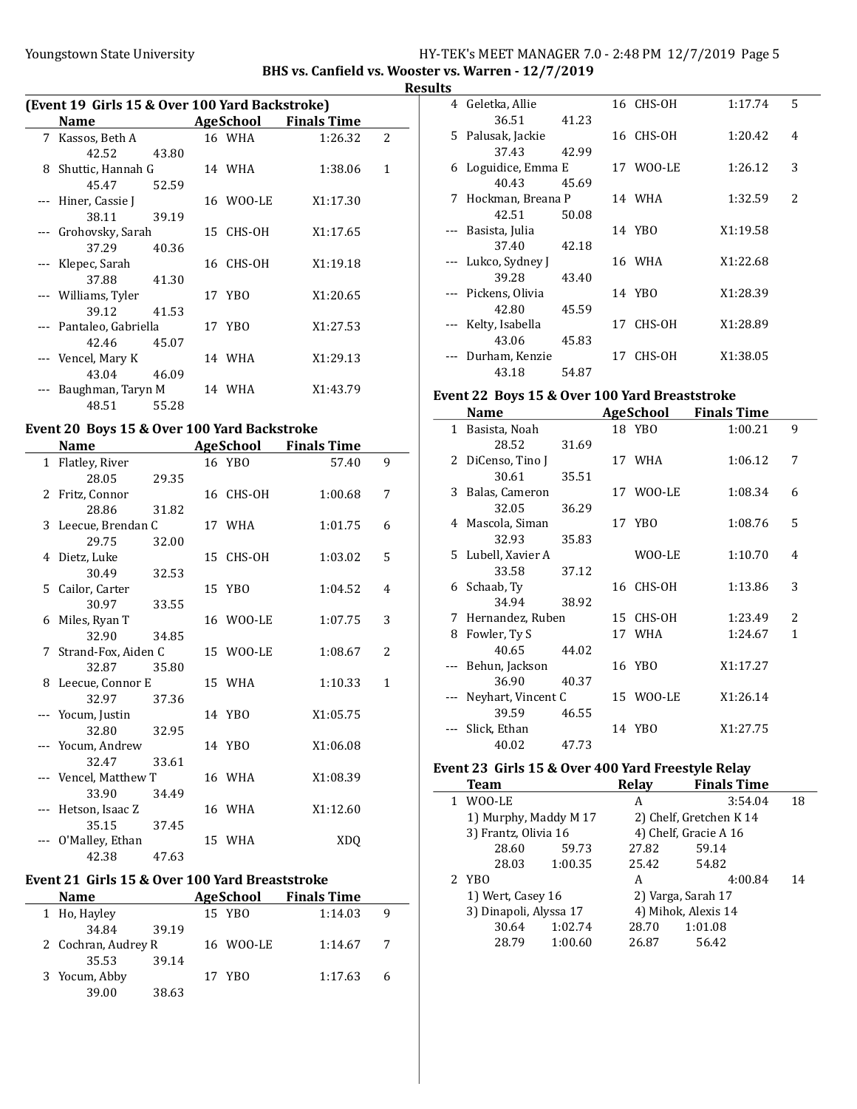# Youngstown State University The Magnostown State University Fig. 2:48 PM 12/7/2019 Page 5

BHS vs. Canfield vs. Wooster vs. Warren - 12/7/2019

| <b>Results</b> |
|----------------|
|----------------|

| (Event 19 Girls 15 & Over 100 Yard Backstroke) |                         |       |  |           |                    |   |  |
|------------------------------------------------|-------------------------|-------|--|-----------|--------------------|---|--|
|                                                | Name                    |       |  | AgeSchool | <b>Finals Time</b> |   |  |
| 7                                              | Kassos, Beth A          |       |  | 16 WHA    | 1:26.32            | 2 |  |
|                                                | 42.52                   | 43.80 |  |           |                    |   |  |
|                                                | 8 Shuttic, Hannah G     |       |  | 14 WHA    | 1:38.06            | 1 |  |
|                                                | 45.47                   | 52.59 |  |           |                    |   |  |
|                                                | --- Hiner, Cassie J     |       |  | 16 WOO-LE | X1:17.30           |   |  |
|                                                | 38.11                   | 39.19 |  |           |                    |   |  |
|                                                | Grohovsky, Sarah        |       |  | 15 CHS-OH | X1:17.65           |   |  |
|                                                | 37.29                   | 40.36 |  |           |                    |   |  |
|                                                | --- Klepec, Sarah       |       |  | 16 CHS-OH | X1:19.18           |   |  |
|                                                | 37.88                   | 41.30 |  |           |                    |   |  |
|                                                | --- Williams, Tyler     |       |  | 17 YBO    | X1:20.65           |   |  |
|                                                | 39.12                   | 41.53 |  |           |                    |   |  |
|                                                | --- Pantaleo, Gabriella |       |  | 17 YBO    | X1:27.53           |   |  |
|                                                | 42.46                   | 45.07 |  |           |                    |   |  |
|                                                | Vencel, Mary K          |       |  | 14 WHA    | X1:29.13           |   |  |
|                                                | 43.04                   | 46.09 |  |           |                    |   |  |
|                                                | Baughman, Taryn M       |       |  | 14 WHA    | X1:43.79           |   |  |
|                                                | 48.51                   | 55.28 |  |           |                    |   |  |

### Event 20 Boys 15 & Over 100 Yard Backstroke

| <b>Name</b> |                       | <b>AgeSchool</b> |  | <b>Finals Time</b> |                 |                |
|-------------|-----------------------|------------------|--|--------------------|-----------------|----------------|
|             | 1 Flatley, River      |                  |  | 16 YBO             | 57.40           | 9              |
|             | 28.05                 | 29.35            |  |                    |                 |                |
|             | 2 Fritz, Connor       |                  |  | 16 CHS-OH          | 1:00.68         | 7              |
|             | 28.86                 | 31.82            |  |                    |                 |                |
|             | 3 Leecue, Brendan C   |                  |  | 17 WHA             | 1:01.75         | 6              |
|             | 29.75                 | 32.00            |  |                    |                 |                |
|             | 4 Dietz, Luke         |                  |  | 15 CHS-OH          | 1:03.02         | 5              |
|             | 30.49                 | 32.53            |  |                    |                 |                |
|             | 5 Cailor, Carter      |                  |  | 15 YBO             | 1:04.52         | 4              |
|             | 30.97                 | 33.55            |  |                    |                 |                |
|             | 6 Miles, Ryan T       |                  |  | 16 WOO-LE          | 1:07.75         | 3              |
|             | 32.90                 | 34.85            |  |                    |                 |                |
|             | 7 Strand-Fox, Aiden C |                  |  | 15 WOO-LE          | 1:08.67         | $\overline{2}$ |
|             | 32.87                 | 35.80            |  |                    |                 |                |
|             | 8 Leecue, Connor E    |                  |  | 15 WHA             | 1:10.33         | 1              |
|             | 32.97                 | 37.36            |  |                    |                 |                |
|             | --- Yocum, Justin     |                  |  | 14 YBO             | X1:05.75        |                |
|             | 32.80                 | 32.95            |  |                    |                 |                |
|             | --- Yocum, Andrew     |                  |  | 14 YBO             | X1:06.08        |                |
|             | 32.47                 | 33.61            |  |                    |                 |                |
|             | Vencel, Matthew T     |                  |  | 16 WHA             | X1:08.39        |                |
|             | 33.90                 | 34.49            |  |                    |                 |                |
|             | Hetson, Isaac Z       |                  |  | 16 WHA             | X1:12.60        |                |
|             | 35.15                 | 37.45            |  |                    |                 |                |
|             | O'Malley, Ethan       |                  |  | 15 WHA             | XD <sub>0</sub> |                |
|             | 42.38                 | 47.63            |  |                    |                 |                |

### Event 21 Girls 15 & Over 100 Yard Breaststroke

| <b>Name</b>         |       | <b>AgeSchool</b> | <b>Finals Time</b> |   |  |
|---------------------|-------|------------------|--------------------|---|--|
| 1 Ho, Hayley        |       | 15 YBO           | 1:14.03            | 9 |  |
| 34.84               | 39.19 |                  |                    |   |  |
| 2 Cochran, Audrey R |       | 16 WOO-LE        | 1:14.67            |   |  |
| 35.53               | 39.14 |                  |                    |   |  |
| 3 Yocum, Abby       |       | 17 YBO           | 1:17.63            | 6 |  |
| 39.00               | 38.63 |                  |                    |   |  |

| w  |                     |       |    |           |          |                          |
|----|---------------------|-------|----|-----------|----------|--------------------------|
|    | 4 Geletka, Allie    |       |    | 16 CHS-OH | 1:17.74  | 5                        |
|    | 36.51               | 41.23 |    |           |          |                          |
| 5. | Palusak, Jackie     |       |    | 16 CHS-OH | 1:20.42  | 4                        |
|    | 37.43               | 42.99 |    |           |          |                          |
| 6  | Loguidice, Emma E   |       |    | 17 WOO-LE | 1:26.12  | 3                        |
|    | 40.43               | 45.69 |    |           |          |                          |
| 7  | Hockman, Breana P   |       |    | 14 WHA    | 1:32.59  | $\overline{\mathcal{L}}$ |
|    | 42.51               | 50.08 |    |           |          |                          |
|    | Basista, Julia      |       |    | 14 YBO    | X1:19.58 |                          |
|    | 37.40               | 42.18 |    |           |          |                          |
|    | --- Lukco, Sydney J |       |    | 16 WHA    | X1:22.68 |                          |
|    | 39.28               | 43.40 |    |           |          |                          |
|    | Pickens, Olivia     |       |    | 14 YBO    | X1:28.39 |                          |
|    | 42.80               | 45.59 |    |           |          |                          |
|    | Kelty, Isabella     |       | 17 | CHS-OH    | X1:28.89 |                          |
|    | 43.06               | 45.83 |    |           |          |                          |
|    | Durham, Kenzie      |       | 17 | CHS-OH    | X1:38.05 |                          |
|    | 43.18               | 54.87 |    |           |          |                          |

### Event 22 Boys 15 & Over 100 Yard Breaststroke

|              | Name                   |       | AgeSchool | <b>Finals Time</b> |   |
|--------------|------------------------|-------|-----------|--------------------|---|
| $\mathbf{1}$ | Basista, Noah          |       | 18 YBO    | 1:00.21            | 9 |
|              | 28.52                  | 31.69 |           |                    |   |
|              | 2 DiCenso, Tino J      |       | 17 WHA    | 1:06.12            | 7 |
|              | 30.61                  | 35.51 |           |                    |   |
|              | 3 Balas, Cameron       |       | 17 WOO-LE | 1:08.34            | 6 |
|              | 32.05                  | 36.29 |           |                    |   |
|              | 4 Mascola, Siman       |       | 17 YBO    | 1:08.76            | 5 |
|              | 32.93                  | 35.83 |           |                    |   |
|              | 5 Lubell, Xavier A     |       | WOO-LE    | 1:10.70            | 4 |
|              | 33.58                  | 37.12 |           |                    |   |
|              | 6 Schaab, Ty           |       | 16 CHS-OH | 1:13.86            | 3 |
|              | 34.94                  | 38.92 |           |                    |   |
|              | 7 Hernandez, Ruben     |       | 15 CHS-OH | 1:23.49            | 2 |
| 8            | Fowler, Ty S           |       | 17 WHA    | 1:24.67            | 1 |
|              | 40.65                  | 44.02 |           |                    |   |
|              | --- Behun, Jackson     |       | 16 YBO    | X1:17.27           |   |
|              | 36.90                  | 40.37 |           |                    |   |
|              | --- Neyhart, Vincent C |       | 15 WOO-LE | X1:26.14           |   |
|              | 39.59                  | 46.55 |           |                    |   |
|              | Slick, Ethan           |       | 14 YBO    | X1:27.75           |   |
|              | 40.02                  | 47.73 |           |                    |   |

### Event 23 Girls 15 & Over 400 Yard Freestyle Relay

| <b>Team</b>  |                                             | Relay | <b>Finals Time</b>      |    |
|--------------|---------------------------------------------|-------|-------------------------|----|
| WOO-LE<br>1. |                                             | А     | 3:54.04                 | 18 |
|              | 1) Murphy, Maddy M 17                       |       | 2) Chelf, Gretchen K 14 |    |
|              | 3) Frantz, Olivia 16                        |       | 4) Chelf, Gracie A 16   |    |
| 28.60        | 59.73                                       | 27.82 | 59.14                   |    |
| 28.03        | 1:00.35                                     | 25.42 | 54.82                   |    |
| 2 YBO        |                                             | А     | 4:00.84                 | 14 |
|              | 1) Wert, Casey 16<br>3) Dinapoli, Alyssa 17 |       | 2) Varga, Sarah 17      |    |
|              |                                             |       | 4) Mihok, Alexis 14     |    |
| 30.64        | 1:02.74                                     | 28.70 | 1:01.08                 |    |
| 28.79        | 1:00.60                                     | 26.87 | 56.42                   |    |